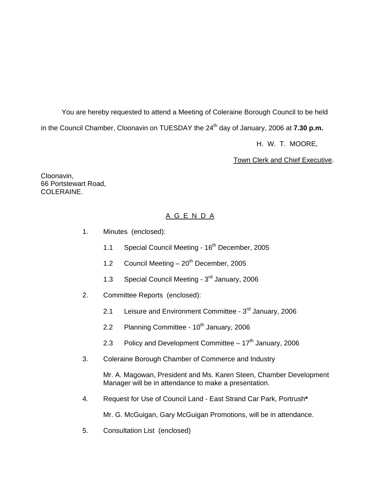You are hereby requested to attend a Meeting of Coleraine Borough Council to be held in the Council Chamber, Cloonavin on TUESDAY the 24<sup>th</sup> day of January, 2006 at **7.30 p.m.** 

H. W. T. MOORE,

Town Clerk and Chief Executive.

Cloonavin, 66 Portstewart Road, COLERAINE.

# A G E N D A

- 1. Minutes (enclosed):
	- 1.1 Special Council Meeting 16<sup>th</sup> December, 2005
	- 1.2 Council Meeting  $-20^{th}$  December, 2005
	- 1.3 Special Council Meeting 3<sup>rd</sup> January, 2006
- 2. Committee Reports (enclosed):
	- 2.1 Leisure and Environment Committee  $3<sup>rd</sup>$  January, 2006
	- 2.2 Planning Committee  $10<sup>th</sup>$  January, 2006
	- 2.3 Policy and Development Committee  $-17<sup>th</sup>$  January, 2006
- 3. Coleraine Borough Chamber of Commerce and Industry

 Mr. A. Magowan, President and Ms. Karen Steen, Chamber Development Manager will be in attendance to make a presentation.

4. Request for Use of Council Land - East Strand Car Park, Portrush**\*** 

Mr. G. McGuigan, Gary McGuigan Promotions, will be in attendance.

5. Consultation List (enclosed)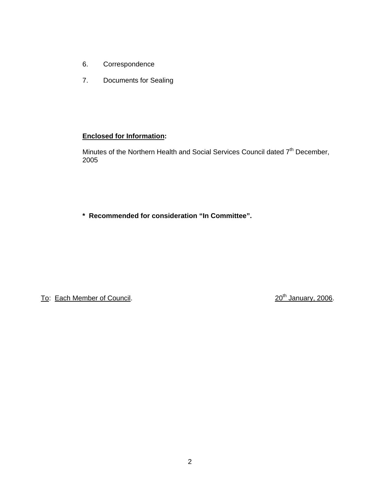- 6. Correspondence
- 7. Documents for Sealing

# **Enclosed for Information:**

Minutes of the Northern Health and Social Services Council dated 7th December, 2005

**\* Recommended for consideration "In Committee".** 

To: Each Member of Council. 20th January, 2006.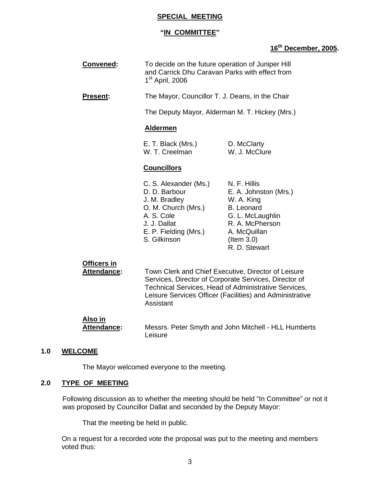## **SPECIAL MEETING**

# **"IN COMMITTEE"**

# **16th December, 2005.**

| Convened:       | To decide on the future operation of Juniper Hill<br>and Carrick Dhu Caravan Parks with effect from<br>$1st$ April, 2006 |                              |
|-----------------|--------------------------------------------------------------------------------------------------------------------------|------------------------------|
| <b>Present:</b> | The Mayor, Councillor T. J. Deans, in the Chair                                                                          |                              |
|                 | The Deputy Mayor, Alderman M. T. Hickey (Mrs.)                                                                           |                              |
|                 | <b>Aldermen</b>                                                                                                          |                              |
|                 | E. T. Black (Mrs.)<br>W. T. Creelman                                                                                     | D. McClarty<br>W. J. McClure |
|                 | <b>Councillors</b>                                                                                                       |                              |
|                 |                                                                                                                          |                              |

#### C. S. Alexander (Ms.) N. F. Hillis D. D. Barbour **E. A. Johnston (Mrs.)** J. M. Bradley W. A. King O. M. Church (Mrs.) B. Leonard A. S. Cole G. L. McLaughlin J. J. Dallat R. A. McPherson E. P. Fielding (Mrs.) A. McQuillan S. Gilkinson (Item 3.0) R. D. Stewart

# **Officers in**

 **Attendance:** Town Clerk and Chief Executive, Director of Leisure Services, Director of Corporate Services, Director of Technical Services, Head of Administrative Services, Leisure Services Officer (Facilities) and Administrative Assistant

#### **Also in Attendance:** Messrs. Peter Smyth and John Mitchell - HLL Humberts Leisure

# **1.0 WELCOME**

The Mayor welcomed everyone to the meeting.

## **2.0 TYPE OF MEETING**

Following discussion as to whether the meeting should be held "In Committee" or not it was proposed by Councillor Dallat and seconded by the Deputy Mayor:

That the meeting be held in public.

 On a request for a recorded vote the proposal was put to the meeting and members voted thus: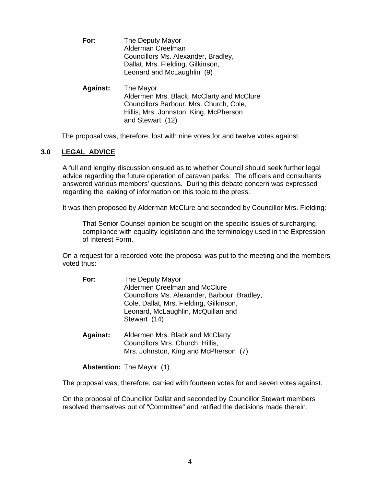- **For:** The Deputy Mayor Alderman Creelman Councillors Ms. Alexander, Bradley, Dallat, Mrs. Fielding, Gilkinson, Leonard and McLaughlin (9)
- **Against:** The Mayor Aldermen Mrs. Black, McClarty and McClure Councillors Barbour, Mrs. Church, Cole, Hillis, Mrs. Johnston, King, McPherson and Stewart (12)

The proposal was, therefore, lost with nine votes for and twelve votes against.

# **3.0 LEGAL ADVICE**

A full and lengthy discussion ensued as to whether Council should seek further legal advice regarding the future operation of caravan parks. The officers and consultants answered various members' questions. During this debate concern was expressed regarding the leaking of information on this topic to the press.

It was then proposed by Alderman McClure and seconded by Councillor Mrs. Fielding:

 That Senior Counsel opinion be sought on the specific issues of surcharging, compliance with equality legislation and the terminology used in the Expression of Interest Form.

On a request for a recorded vote the proposal was put to the meeting and the members voted thus:

| For: | The Deputy Mayor                             |
|------|----------------------------------------------|
|      | Aldermen Creelman and McClure                |
|      | Councillors Ms. Alexander, Barbour, Bradley, |
|      | Cole, Dallat, Mrs. Fielding, Gilkinson,      |
|      | Leonard, McLaughlin, McQuillan and           |
|      | Stewart (14)                                 |
|      |                                              |

**Against:** Aldermen Mrs. Black and McClarty Councillors Mrs. Church, Hillis, Mrs. Johnston, King and McPherson (7)

**Abstention:** The Mayor (1)

The proposal was, therefore, carried with fourteen votes for and seven votes against.

On the proposal of Councillor Dallat and seconded by Councillor Stewart members resolved themselves out of "Committee" and ratified the decisions made therein.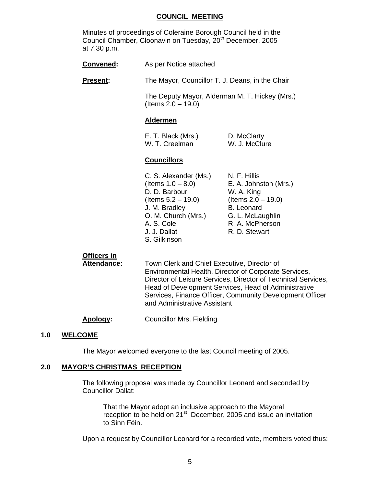#### **COUNCIL MEETING**

 Minutes of proceedings of Coleraine Borough Council held in the Council Chamber, Cloonavin on Tuesday, 20<sup>th</sup> December, 2005 at 7.30 p.m.

| <b>Convened:</b> | As per Notice attached |
|------------------|------------------------|
|------------------|------------------------|

**Present:** The Mayor, Councillor T. J. Deans, in the Chair

 The Deputy Mayor, Alderman M. T. Hickey (Mrs.) (Items 2.0 – 19.0)

#### **Aldermen**

| E. T. Black (Mrs.) | D. McClarty   |
|--------------------|---------------|
| W. T. Creelman     | W. J. McClure |

#### **Councillors**

C. S. Alexander (Ms.) N. F. Hillis  $($ ltems  $1.0 - 8.0$  $)$  E. A. Johnston  $(Mrs.)$ D. D. Barbour W. A. King (Items 5.2 – 19.0) (Items 2.0 – 19.0) J. M. Bradley B. Leonard O. M. Church (Mrs.) G. L. McLaughlin A. S. Cole R. A. McPherson J. J. Dallat R. D. Stewart S. Gilkinson

# **Officers in**

 **Attendance:** Town Clerk and Chief Executive, Director of Environmental Health, Director of Corporate Services, Director of Leisure Services, Director of Technical Services, Head of Development Services, Head of Administrative Services, Finance Officer, Community Development Officer and Administrative Assistant

**Apology: Councillor Mrs. Fielding** 

#### **1.0 WELCOME**

The Mayor welcomed everyone to the last Council meeting of 2005.

## **2.0 MAYOR'S CHRISTMAS RECEPTION**

The following proposal was made by Councillor Leonard and seconded by Councillor Dallat:

That the Mayor adopt an inclusive approach to the Mayoral reception to be held on 21<sup>st</sup> December, 2005 and issue an invitation to Sinn Féin.

Upon a request by Councillor Leonard for a recorded vote, members voted thus: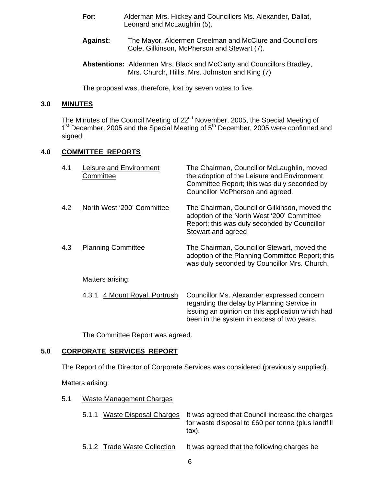- **For:** Alderman Mrs. Hickey and Councillors Ms. Alexander, Dallat, Leonard and McLaughlin (5).
- **Against:** The Mayor, Aldermen Creelman and McClure and Councillors Cole, Gilkinson, McPherson and Stewart (7).
- **Abstentions:** Aldermen Mrs. Black and McClarty and Councillors Bradley, Mrs. Church, Hillis, Mrs. Johnston and King (7)

The proposal was, therefore, lost by seven votes to five.

# **3.0 MINUTES**

The Minutes of the Council Meeting of 22<sup>nd</sup> November, 2005, the Special Meeting of 1<sup>st</sup> December, 2005 and the Special Meeting of 5<sup>th</sup> December, 2005 were confirmed and signed.

# **4.0 COMMITTEE REPORTS**

| 4.1 | Leisure and Environment<br>Committee | The Chairman, Councillor McLaughlin, moved<br>the adoption of the Leisure and Environment<br>Committee Report; this was duly seconded by<br>Councillor McPherson and agreed.               |
|-----|--------------------------------------|--------------------------------------------------------------------------------------------------------------------------------------------------------------------------------------------|
| 4.2 | North West '200' Committee           | The Chairman, Councillor Gilkinson, moved the<br>adoption of the North West '200' Committee<br>Report; this was duly seconded by Councillor<br>Stewart and agreed.                         |
| 4.3 | <b>Planning Committee</b>            | The Chairman, Councillor Stewart, moved the<br>adoption of the Planning Committee Report; this<br>was duly seconded by Councillor Mrs. Church.                                             |
|     | Matters arising:                     |                                                                                                                                                                                            |
|     | 4 Mount Royal, Portrush<br>4.3.1     | Councillor Ms. Alexander expressed concern<br>regarding the delay by Planning Service in<br>issuing an opinion on this application which had<br>been in the system in excess of two years. |

The Committee Report was agreed.

# **5.0 CORPORATE SERVICES REPORT**

The Report of the Director of Corporate Services was considered (previously supplied).

Matters arising:

5.1 Waste Management Charges

|  |                              | 5.1.1 Waste Disposal Charges It was agreed that Council increase the charges<br>for waste disposal to £60 per tonne (plus landfill<br>tax). |
|--|------------------------------|---------------------------------------------------------------------------------------------------------------------------------------------|
|  | 5.1.2 Trade Waste Collection | It was agreed that the following charges be                                                                                                 |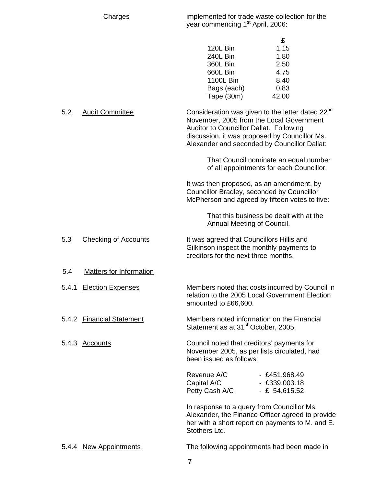Charges implemented for trade waste collection for the year commencing 1<sup>st</sup> April, 2006:

|                 | £     |
|-----------------|-------|
| <b>120L Bin</b> | 1.15  |
| 240L Bin        | 1.80  |
| <b>360L Bin</b> | 2.50  |
| 660L Bin        | 4.75  |
| 1100L Bin       | 8.40  |
| Bags (each)     | 0.83  |
| Tape (30m)      | 42.00 |

5.2 Audit Committee **Consideration was given to the letter dated 22<sup>nd</sup>** November, 2005 from the Local Government Auditor to Councillor Dallat. Following discussion, it was proposed by Councillor Ms. Alexander and seconded by Councillor Dallat:

> That Council nominate an equal number of all appointments for each Councillor.

It was then proposed, as an amendment, by Councillor Bradley, seconded by Councillor McPherson and agreed by fifteen votes to five:

> That this business be dealt with at the Annual Meeting of Council.

5.3 Checking of Accounts It was agreed that Councillors Hillis and Gilkinson inspect the monthly payments to creditors for the next three months.

5.4 Matters for Information

5.4.1 Election Expenses Members noted that costs incurred by Council in relation to the 2005 Local Government Election amounted to £66,600.

5.4.2 Financial Statement Members noted information on the Financial Statement as at 31<sup>st</sup> October, 2005.

5.4.3 Accounts Council noted that creditors' payments for November 2005, as per lists circulated, had been issued as follows:

| Revenue A/C    | $-$ £451,968.49 |
|----------------|-----------------|
| Capital A/C    | $-$ £339,003.18 |
| Petty Cash A/C | $-E 54,615.52$  |

In response to a query from Councillor Ms. Alexander, the Finance Officer agreed to provide her with a short report on payments to M. and E. Stothers Ltd.

5.4.4 New Appointments The following appointments had been made in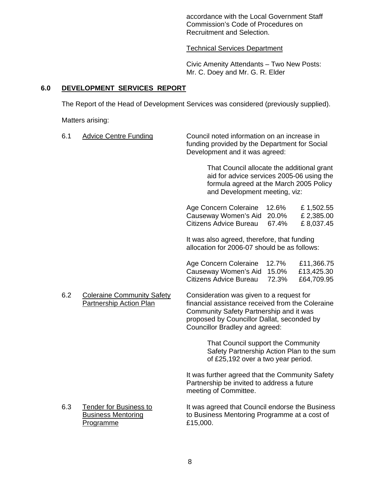accordance with the Local Government Staff Commission's Code of Procedures on Recruitment and Selection.

#### Technical Services Department

Civic Amenity Attendants – Two New Posts: Mr. C. Doey and Mr. G. R. Elder

# **6.0 DEVELOPMENT SERVICES REPORT**

The Report of the Head of Development Services was considered (previously supplied).

Matters arising:

| 6.1                                                                        | <b>Advice Centre Funding</b>                                            | Council noted information on an increase in<br>funding provided by the Department for Social<br>Development and it was agreed:                                      |                                                  |                                        |
|----------------------------------------------------------------------------|-------------------------------------------------------------------------|---------------------------------------------------------------------------------------------------------------------------------------------------------------------|--------------------------------------------------|----------------------------------------|
|                                                                            |                                                                         | That Council allocate the additional grant<br>aid for advice services 2005-06 using the<br>formula agreed at the March 2005 Policy<br>and Development meeting, viz: |                                                  |                                        |
|                                                                            |                                                                         | Age Concern Coleraine<br>Causeway Women's Aid<br><b>Citizens Advice Bureau</b>                                                                                      | 12.6%<br>20.0%<br>67.4%                          | £1,502.55<br>£2,385.00<br>£8,037.45    |
|                                                                            |                                                                         | It was also agreed, therefore, that funding<br>allocation for 2006-07 should be as follows:                                                                         |                                                  |                                        |
|                                                                            |                                                                         | Age Concern Coleraine<br>Causeway Women's Aid<br>Citizens Advice Bureau                                                                                             | 12.7%<br>15.0%<br>72.3%                          | £11,366.75<br>£13,425.30<br>£64,709.95 |
| 6.2<br><b>Coleraine Community Safety</b><br><b>Partnership Action Plan</b> |                                                                         | Consideration was given to a request for<br>Community Safety Partnership and it was<br>proposed by Councillor Dallat, seconded by<br>Councillor Bradley and agreed: | financial assistance received from the Coleraine |                                        |
|                                                                            |                                                                         | That Council support the Community<br>Safety Partnership Action Plan to the sum<br>of £25,192 over a two year period.                                               |                                                  |                                        |
|                                                                            |                                                                         | It was further agreed that the Community Safety<br>Partnership be invited to address a future<br>meeting of Committee.                                              |                                                  |                                        |
| 6.3                                                                        | <b>Tender for Business to</b><br><b>Business Mentoring</b><br>Programme | It was agreed that Council endorse the Business<br>to Business Mentoring Programme at a cost of<br>£15,000.                                                         |                                                  |                                        |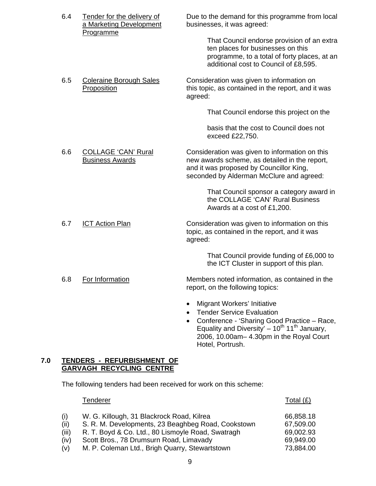| 6.4 | Tender for the delivery of<br>a Marketing Development<br>Programme | Due to the demand for this programme from local<br>businesses, it was agreed:                                                                                                                                              |
|-----|--------------------------------------------------------------------|----------------------------------------------------------------------------------------------------------------------------------------------------------------------------------------------------------------------------|
|     |                                                                    | That Council endorse provision of an extra<br>ten places for businesses on this<br>programme, to a total of forty places, at an<br>additional cost to Council of £8,595.                                                   |
| 6.5 | <b>Coleraine Borough Sales</b><br>Proposition                      | Consideration was given to information on<br>this topic, as contained in the report, and it was<br>agreed:                                                                                                                 |
|     |                                                                    | That Council endorse this project on the                                                                                                                                                                                   |
|     |                                                                    | basis that the cost to Council does not<br>exceed £22,750.                                                                                                                                                                 |
| 6.6 | <b>COLLAGE 'CAN' Rural</b><br><b>Business Awards</b>               | Consideration was given to information on this<br>new awards scheme, as detailed in the report,<br>and it was proposed by Councillor King,<br>seconded by Alderman McClure and agreed:                                     |
|     |                                                                    | That Council sponsor a category award in<br>the COLLAGE 'CAN' Rural Business<br>Awards at a cost of £1,200.                                                                                                                |
| 6.7 | <b>ICT Action Plan</b>                                             | Consideration was given to information on this<br>topic, as contained in the report, and it was<br>agreed:                                                                                                                 |
|     |                                                                    | That Council provide funding of £6,000 to<br>the ICT Cluster in support of this plan.                                                                                                                                      |
| 6.8 | For Information                                                    | Members noted information, as contained in the<br>report, on the following topics:                                                                                                                                         |
|     |                                                                    | Migrant Workers' Initiative<br><b>Tender Service Evaluation</b><br>Conference - 'Sharing Good Practice - Race,<br>Equality and Diversity' $-10^{th}$ 11 <sup>th</sup> January,<br>2006, 10.00am- 4.30pm in the Royal Court |

#### **7.0 TENDERS - REFURBISHMENT OF GARVAGH RECYCLING CENTRE**

The following tenders had been received for work on this scheme:

|       | Tenderer                                           | Total (£) |
|-------|----------------------------------------------------|-----------|
| (i)   | W. G. Killough, 31 Blackrock Road, Kilrea          | 66,858.18 |
| (ii)  | S. R. M. Developments, 23 Beaghbeg Road, Cookstown | 67,509.00 |
| (iii) | R. T. Boyd & Co. Ltd., 80 Lismoyle Road, Swatragh  | 69,002.93 |
| (iv)  | Scott Bros., 78 Drumsurn Road, Limavady            | 69,949.00 |
| (v)   | M. P. Coleman Ltd., Brigh Quarry, Stewartstown     | 73,884.00 |

Hotel, Portrush.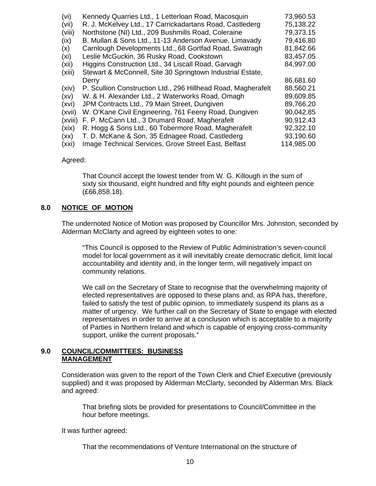| (vi)    | Kennedy Quarries Ltd., 1 Letterloan Road, Macosquin           | 73,960.53  |
|---------|---------------------------------------------------------------|------------|
| (vii)   | R. J. McKelvey Ltd., 17 Carrickadartans Road, Castlederg      | 75,138.22  |
| (viii)  | Northstone (NI) Ltd., 209 Bushmills Road, Coleraine           | 79,373.15  |
| (ix)    | B. Mullan & Sons Ltd., 11-13 Anderson Avenue, Limavady        | 79,416.80  |
| (x)     | Carnlough Developments Ltd., 68 Gortfad Road, Swatragh        | 81,842.66  |
| (xi)    | Leslie McGuckin, 36 Rusky Road, Cookstown                     | 83,457.05  |
| (xii)   | Higgins Construction Ltd., 34 Liscall Road, Garvagh           | 84,997.00  |
| (xiii)  | Stewart & McConnell, Site 30 Springtown Industrial Estate,    |            |
|         | Derry                                                         | 86,681.60  |
| (xiv)   | P. Scullion Construction Ltd., 296 Hillhead Road, Magherafelt | 88,560.21  |
| (xv)    | W. & H. Alexander Ltd., 2 Waterworks Road, Omagh              | 89,609.85  |
| (xvi)   | JPM Contracts Ltd., 79 Main Street, Dungiven                  | 89,766.20  |
| (xvii)  | W. O'Kane Civil Engineering, 761 Feeny Road, Dungiven         | 90,042.85  |
| (xviii) | F. P. McCann Ltd., 3 Drumard Road, Magherafelt                | 90,912.43  |
| (xix)   | R. Hogg & Sons Ltd., 60 Tobermore Road, Magherafelt           | 92,322.10  |
| (xx)    | T. D. McKane & Son, 35 Ednagee Road, Castlederg               | 93,190.60  |
| (xxi)   | Image Technical Services, Grove Street East, Belfast          | 114,985.00 |

#### Agreed:

 That Council accept the lowest tender from W. G. Killough in the sum of sixty six thousand, eight hundred and fifty eight pounds and eighteen pence (£66,858.18).

#### **8.0 NOTICE OF MOTION**

 The undernoted Notice of Motion was proposed by Councillor Mrs. Johnston, seconded by Alderman McClarty and agreed by eighteen votes to one:

"This Council is opposed to the Review of Public Administration's seven-council model for local government as it will inevitably create democratic deficit, limit local accountability and identity and, in the longer term, will negatively impact on community relations.

We call on the Secretary of State to recognise that the overwhelming majority of elected representatives are opposed to these plans and, as RPA has, therefore, failed to satisfy the test of public opinion, to immediately suspend its plans as a matter of urgency. We further call on the Secretary of State to engage with elected representatives in order to arrive at a conclusion which is acceptable to a majority of Parties in Northern Ireland and which is capable of enjoying cross-community support, unlike the current proposals."

## **9.0 COUNCIL/COMMITTEES: BUSINESS MANAGEMENT**

Consideration was given to the report of the Town Clerk and Chief Executive (previously supplied) and it was proposed by Alderman McClarty, seconded by Alderman Mrs. Black and agreed:

 That briefing slots be provided for presentations to Council/Committee in the hour before meetings.

It was further agreed:

That the recommendations of Venture International on the structure of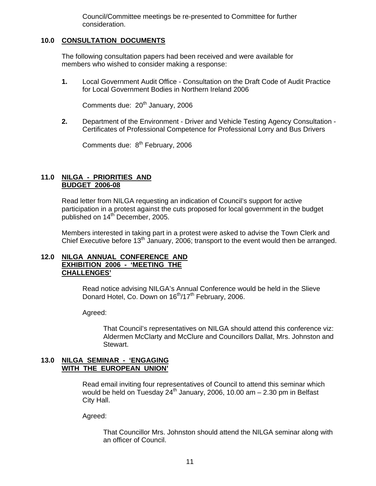Council/Committee meetings be re-presented to Committee for further consideration.

# **10.0 CONSULTATION DOCUMENTS**

The following consultation papers had been received and were available for members who wished to consider making a response:

**1.** Local Government Audit Office - Consultation on the Draft Code of Audit Practice for Local Government Bodies in Northern Ireland 2006

Comments due: 20<sup>th</sup> January, 2006

**2.** Department of the Environment - Driver and Vehicle Testing Agency Consultation - Certificates of Professional Competence for Professional Lorry and Bus Drivers

Comments due: 8<sup>th</sup> February, 2006

# **11.0 NILGA - PRIORITIES AND BUDGET 2006-08**

 Read letter from NILGA requesting an indication of Council's support for active participation in a protest against the cuts proposed for local government in the budget published on 14<sup>th</sup> December, 2005.

 Members interested in taking part in a protest were asked to advise the Town Clerk and Chief Executive before 13<sup>th</sup> January, 2006; transport to the event would then be arranged.

## **12.0 NILGA ANNUAL CONFERENCE AND EXHIBITION 2006 - 'MEETING THE CHALLENGES'**

 Read notice advising NILGA's Annual Conference would be held in the Slieve Donard Hotel, Co. Down on 16<sup>th</sup>/17<sup>th</sup> February, 2006.

Agreed:

 That Council's representatives on NILGA should attend this conference viz: Aldermen McClarty and McClure and Councillors Dallat, Mrs. Johnston and Stewart.

## **13.0 NILGA SEMINAR - 'ENGAGING WITH THE EUROPEAN UNION'**

 Read email inviting four representatives of Council to attend this seminar which would be held on Tuesday  $24^{th}$  January, 2006, 10.00 am  $-$  2.30 pm in Belfast City Hall.

Agreed:

 That Councillor Mrs. Johnston should attend the NILGA seminar along with an officer of Council.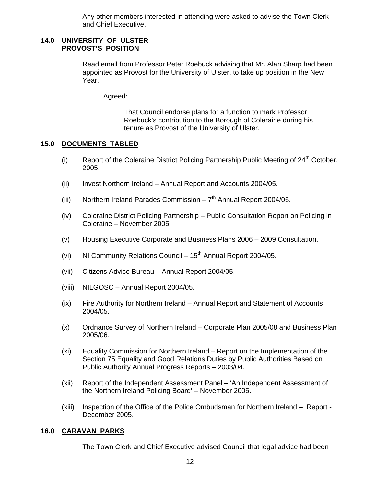Any other members interested in attending were asked to advise the Town Clerk and Chief Executive.

#### **14.0 UNIVERSITY OF ULSTER - PROVOST'S POSITION**

Read email from Professor Peter Roebuck advising that Mr. Alan Sharp had been appointed as Provost for the University of Ulster, to take up position in the New Year.

Agreed:

 That Council endorse plans for a function to mark Professor Roebuck's contribution to the Borough of Coleraine during his tenure as Provost of the University of Ulster.

# **15.0 DOCUMENTS TABLED**

- (i) Report of the Coleraine District Policing Partnership Public Meeting of  $24<sup>th</sup>$  October, 2005.
- (ii) Invest Northern Ireland Annual Report and Accounts 2004/05.
- (iii) Northern Ireland Parades Commission  $7<sup>th</sup>$  Annual Report 2004/05.
- (iv) Coleraine District Policing Partnership Public Consultation Report on Policing in Coleraine – November 2005.
- (v) Housing Executive Corporate and Business Plans 2006 2009 Consultation.
- (vi) NI Community Relations Council  $15<sup>th</sup>$  Annual Report 2004/05.
- (vii) Citizens Advice Bureau Annual Report 2004/05.
- (viii) NILGOSC Annual Report 2004/05.
- (ix) Fire Authority for Northern Ireland Annual Report and Statement of Accounts 2004/05.
- (x) Ordnance Survey of Northern Ireland Corporate Plan 2005/08 and Business Plan 2005/06.
- (xi) Equality Commission for Northern Ireland Report on the Implementation of the Section 75 Equality and Good Relations Duties by Public Authorities Based on Public Authority Annual Progress Reports – 2003/04.
- (xii) Report of the Independent Assessment Panel 'An Independent Assessment of the Northern Ireland Policing Board' – November 2005.
- (xiii) Inspection of the Office of the Police Ombudsman for Northern Ireland Report December 2005.

# **16.0 CARAVAN PARKS**

The Town Clerk and Chief Executive advised Council that legal advice had been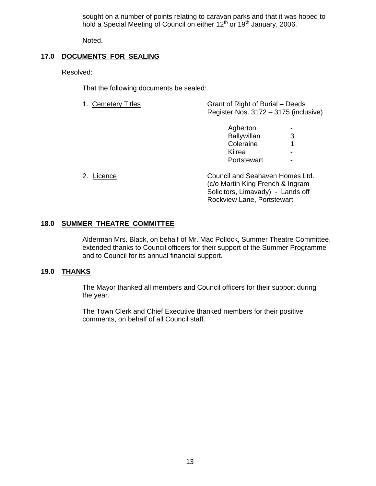sought on a number of points relating to caravan parks and that it was hoped to hold a Special Meeting of Council on either 12<sup>th</sup> or 19<sup>th</sup> January, 2006.

Noted.

# **17.0 DOCUMENTS FOR SEALING**

Resolved:

That the following documents be sealed:

| 1. Cemetery Titles | Grant of Right of Burial – Deeds      |
|--------------------|---------------------------------------|
|                    | Register Nos. 3172 – 3175 (inclusive) |
|                    |                                       |

| Agherton    | $\sim$         |
|-------------|----------------|
| Ballywillan | 3              |
| Coleraine   | 1              |
| Kilrea      | ۰              |
| Portstewart | $\blacksquare$ |
|             |                |

| 2. Licence | Council and Seahaven Homes Ltd.   |
|------------|-----------------------------------|
|            | (c/o Martin King French & Ingram  |
|            | Solicitors, Limavady) - Lands off |
|            | Rockview Lane, Portstewart        |

## **18.0 SUMMER THEATRE COMMITTEE**

 Alderman Mrs. Black, on behalf of Mr. Mac Pollock, Summer Theatre Committee, extended thanks to Council officers for their support of the Summer Programme and to Council for its annual financial support.

## **19.0 THANKS**

 The Mayor thanked all members and Council officers for their support during the year.

 The Town Clerk and Chief Executive thanked members for their positive comments, on behalf of all Council staff.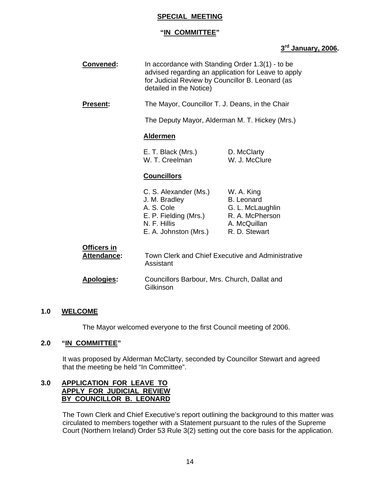# **SPECIAL MEETING**

# **"IN COMMITTEE"**

# **3rd January, 2006.**

| Convened:                         | In accordance with Standing Order 1.3(1) - to be<br>advised regarding an application for Leave to apply<br>for Judicial Review by Councillor B. Leonard (as<br>detailed in the Notice) |                                                                                                         |  |
|-----------------------------------|----------------------------------------------------------------------------------------------------------------------------------------------------------------------------------------|---------------------------------------------------------------------------------------------------------|--|
| <b>Present:</b>                   | The Mayor, Councillor T. J. Deans, in the Chair                                                                                                                                        |                                                                                                         |  |
|                                   |                                                                                                                                                                                        | The Deputy Mayor, Alderman M. T. Hickey (Mrs.)                                                          |  |
|                                   | <b>Aldermen</b>                                                                                                                                                                        |                                                                                                         |  |
|                                   | E. T. Black (Mrs.)<br>W. T. Creelman                                                                                                                                                   | D. McClarty<br>W. J. McClure                                                                            |  |
|                                   | <b>Councillors</b>                                                                                                                                                                     |                                                                                                         |  |
|                                   | C. S. Alexander (Ms.)<br>J. M. Bradley<br>A. S. Cole<br>E. P. Fielding (Mrs.)<br>N. F. Hillis<br>E. A. Johnston (Mrs.)                                                                 | W. A. King<br><b>B.</b> Leonard<br>G. L. McLaughlin<br>R. A. McPherson<br>A. McQuillan<br>R. D. Stewart |  |
| <b>Officers in</b><br>Attendance: | Assistant                                                                                                                                                                              | Town Clerk and Chief Executive and Administrative                                                       |  |
| Apologies:                        | Councillors Barbour, Mrs. Church, Dallat and<br>Gilkinson                                                                                                                              |                                                                                                         |  |

## **1.0 WELCOME**

The Mayor welcomed everyone to the first Council meeting of 2006.

## **2.0 "IN COMMITTEE"**

It was proposed by Alderman McClarty, seconded by Councillor Stewart and agreed that the meeting be held "In Committee".

# **3.0 APPLICATION FOR LEAVE TO APPLY FOR JUDICIAL REVIEW BY COUNCILLOR B. LEONARD**

The Town Clerk and Chief Executive's report outlining the background to this matter was circulated to members together with a Statement pursuant to the rules of the Supreme Court (Northern Ireland) Order 53 Rule 3(2) setting out the core basis for the application.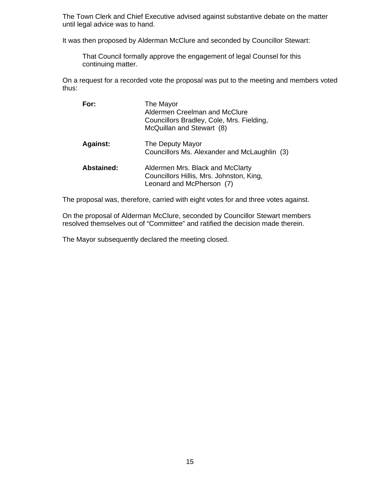The Town Clerk and Chief Executive advised against substantive debate on the matter until legal advice was to hand.

It was then proposed by Alderman McClure and seconded by Councillor Stewart:

 That Council formally approve the engagement of legal Counsel for this continuing matter.

On a request for a recorded vote the proposal was put to the meeting and members voted thus:

| For:              | The Mayor<br>Aldermen Creelman and McClure<br>Councillors Bradley, Cole, Mrs. Fielding,<br>McQuillan and Stewart (8) |
|-------------------|----------------------------------------------------------------------------------------------------------------------|
| <b>Against:</b>   | The Deputy Mayor<br>Councillors Ms. Alexander and McLaughlin (3)                                                     |
| <b>Abstained:</b> | Aldermen Mrs. Black and McClarty<br>Councillors Hillis, Mrs. Johnston, King,<br>Leonard and McPherson (7)            |

The proposal was, therefore, carried with eight votes for and three votes against.

On the proposal of Alderman McClure, seconded by Councillor Stewart members resolved themselves out of "Committee" and ratified the decision made therein.

The Mayor subsequently declared the meeting closed.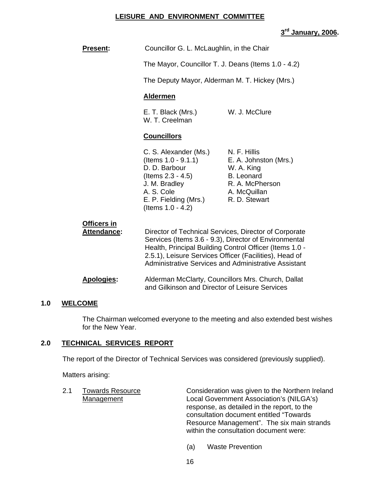#### **LEISURE AND ENVIRONMENT COMMITTEE**

# **3rd January, 2006.**

| <b>Present:</b>                   | Councillor G. L. McLaughlin, in the Chair                                                                                                                       |                                                                                                                                                                                                                                          |  |
|-----------------------------------|-----------------------------------------------------------------------------------------------------------------------------------------------------------------|------------------------------------------------------------------------------------------------------------------------------------------------------------------------------------------------------------------------------------------|--|
|                                   | The Mayor, Councillor T. J. Deans (Items 1.0 - 4.2)                                                                                                             |                                                                                                                                                                                                                                          |  |
|                                   | The Deputy Mayor, Alderman M. T. Hickey (Mrs.)                                                                                                                  |                                                                                                                                                                                                                                          |  |
|                                   | <b>Aldermen</b>                                                                                                                                                 |                                                                                                                                                                                                                                          |  |
|                                   | E. T. Black (Mrs.)<br>W. T. Creelman                                                                                                                            | W. J. McClure                                                                                                                                                                                                                            |  |
|                                   | <b>Councillors</b>                                                                                                                                              |                                                                                                                                                                                                                                          |  |
|                                   | C. S. Alexander (Ms.)<br>(Items 1.0 - 9.1.1)<br>D. D. Barbour<br>(Items 2.3 - 4.5)<br>J. M. Bradley<br>A. S. Cole<br>E. P. Fielding (Mrs.)<br>(Items 1.0 - 4.2) | N. F. Hillis<br>E. A. Johnston (Mrs.)<br>W. A. King<br><b>B.</b> Leonard<br>R. A. McPherson<br>A. McQuillan<br>R. D. Stewart                                                                                                             |  |
| Officers in<br><b>Attendance:</b> | 2.5.1), Leisure Services Officer (Facilities), Head of                                                                                                          | Director of Technical Services, Director of Corporate<br>Services (Items 3.6 - 9.3), Director of Environmental<br>Health, Principal Building Control Officer (Items 1.0 -<br><b>Administrative Services and Administrative Assistant</b> |  |
| <b>Apologies:</b>                 | Alderman McClarty, Councillors Mrs. Church, Dallat<br>and Gilkinson and Director of Leisure Services                                                            |                                                                                                                                                                                                                                          |  |
|                                   |                                                                                                                                                                 |                                                                                                                                                                                                                                          |  |

# **1.0 WELCOME**

 The Chairman welcomed everyone to the meeting and also extended best wishes for the New Year.

# **2.0 TECHNICAL SERVICES REPORT**

The report of the Director of Technical Services was considered (previously supplied).

Matters arising:

| Consideration was given to the Northern Ireland |
|-------------------------------------------------|
| Local Government Association's (NILGA's)        |
| response, as detailed in the report, to the     |
| consultation document entitled "Towards"        |
| Resource Management". The six main strands      |
|                                                 |
|                                                 |

(a) Waste Prevention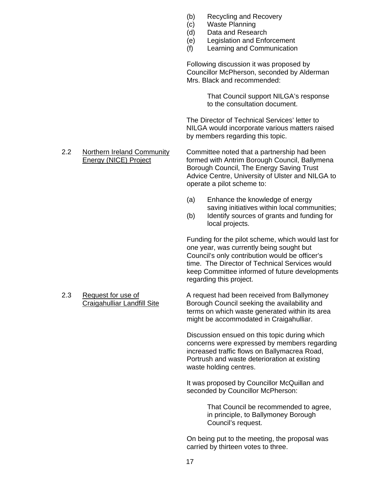- (b) Recycling and Recovery
- (c) Waste Planning
- (d) Data and Research
- (e) Legislation and Enforcement
- (f) Learning and Communication

Following discussion it was proposed by Councillor McPherson, seconded by Alderman Mrs. Black and recommended:

> That Council support NILGA's response to the consultation document.

 The Director of Technical Services' letter to NILGA would incorporate various matters raised by members regarding this topic.

2.2 Northern Ireland Community Committee noted that a partnership had been Energy (NICE) Project formed with Antrim Borough Council, Ballymena Borough Council, The Energy Saving Trust Advice Centre, University of Ulster and NILGA to operate a pilot scheme to:

- (a) Enhance the knowledge of energy saving initiatives within local communities;
- (b) Identify sources of grants and funding for local projects.

Funding for the pilot scheme, which would last for one year, was currently being sought but Council's only contribution would be officer's time. The Director of Technical Services would keep Committee informed of future developments regarding this project.

2.3 Request for use of A request had been received from Ballymoney Craigahulliar Landfill Site Borough Council seeking the availability and terms on which waste generated within its area might be accommodated in Craigahulliar.

> Discussion ensued on this topic during which concerns were expressed by members regarding increased traffic flows on Ballymacrea Road, Portrush and waste deterioration at existing waste holding centres.

It was proposed by Councillor McQuillan and seconded by Councillor McPherson:

> That Council be recommended to agree, in principle, to Ballymoney Borough Council's request.

On being put to the meeting, the proposal was carried by thirteen votes to three.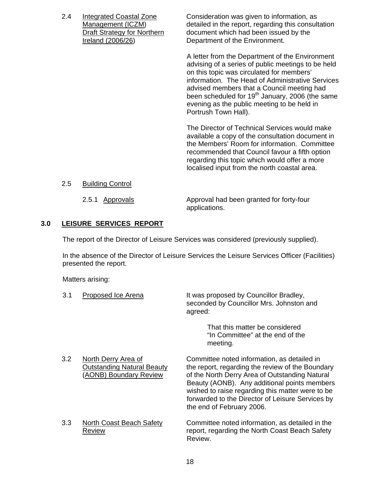2.4 Integrated Coastal Zone Consideration was given to information, as Management (ICZM) detailed in the report, regarding this consultation Draft Strategy for Northern document which had been issued by the Ireland (2006/26) Department of the Environment.

> A letter from the Department of the Environment advising of a series of public meetings to be held on this topic was circulated for members' information. The Head of Administrative Services advised members that a Council meeting had been scheduled for  $19<sup>th</sup>$  January, 2006 (the same evening as the public meeting to be held in Portrush Town Hall).

The Director of Technical Services would make available a copy of the consultation document in the Members' Room for information. Committee recommended that Council favour a fifth option regarding this topic which would offer a more localised input from the north coastal area.

## 2.5 Building Control

 2.5.1 Approvals Approval had been granted for forty-four applications.

# **3.0 LEISURE SERVICES REPORT**

The report of the Director of Leisure Services was considered (previously supplied).

In the absence of the Director of Leisure Services the Leisure Services Officer (Facilities) presented the report.

Matters arising:

| 3.1              | Proposed Ice Arena                                                                 | It was proposed by Councillor Bradley,<br>seconded by Councillor Mrs. Johnston and<br>agreed:                                                                                                                                                                                                                                          |
|------------------|------------------------------------------------------------------------------------|----------------------------------------------------------------------------------------------------------------------------------------------------------------------------------------------------------------------------------------------------------------------------------------------------------------------------------------|
|                  |                                                                                    | That this matter be considered<br>"In Committee" at the end of the<br>meeting.                                                                                                                                                                                                                                                         |
| 3.2 <sub>2</sub> | North Derry Area of<br><b>Outstanding Natural Beauty</b><br>(AONB) Boundary Review | Committee noted information, as detailed in<br>the report, regarding the review of the Boundary<br>of the North Derry Area of Outstanding Natural<br>Beauty (AONB). Any additional points members<br>wished to raise regarding this matter were to be<br>forwarded to the Director of Leisure Services by<br>the end of February 2006. |
| 3.3              | North Coast Beach Safety<br>Review                                                 | Committee noted information, as detailed in the<br>report, regarding the North Coast Beach Safety<br>Review.                                                                                                                                                                                                                           |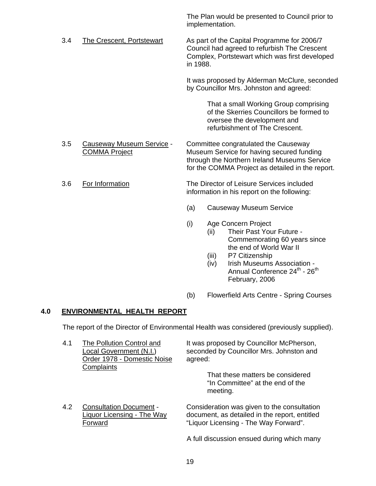The Plan would be presented to Council prior to implementation.

3.4 The Crescent, Portstewart As part of the Capital Programme for 2006/7 Council had agreed to refurbish The Crescent Complex, Portstewart which was first developed in 1988.

> It was proposed by Alderman McClure, seconded by Councillor Mrs. Johnston and agreed:

> > That a small Working Group comprising of the Skerries Councillors be formed to oversee the development and refurbishment of The Crescent.

 3.5 Causeway Museum Service - Committee congratulated the Causeway COMMA Project Museum Service for having secured funding through the Northern Ireland Museums Service for the COMMA Project as detailed in the report.

 3.6 For Information The Director of Leisure Services included information in his report on the following:

- (a) Causeway Museum Service
- (i) Age Concern Project
	- (ii) Their Past Your Future Commemorating 60 years since the end of World War II
	- (iii) P7 Citizenship
	- (iv) Irish Museums Association Annual Conference 24<sup>th</sup> - 26<sup>th</sup> February, 2006
- (b) Flowerfield Arts Centre Spring Courses

# **4.0 ENVIRONMENTAL HEALTH REPORT**

The report of the Director of Environmental Health was considered (previously supplied).

| 4.1 | The Pollution Control and<br>Local Government (N.I.)<br>Order 1978 - Domestic Noise<br>Complaints | It was proposed by Councillor McPherson,<br>seconded by Councillor Mrs. Johnston and<br>agreed:<br>That these matters be considered<br>"In Committee" at the end of the<br>meeting. |
|-----|---------------------------------------------------------------------------------------------------|-------------------------------------------------------------------------------------------------------------------------------------------------------------------------------------|
| 4.2 | <b>Consultation Document -</b><br>Liquor Licensing - The Way<br>Forward                           | Consideration was given to the consultation<br>document, as detailed in the report, entitled<br>"Liquor Licensing - The Way Forward".                                               |
|     |                                                                                                   | A full discussion ensued during which many                                                                                                                                          |

19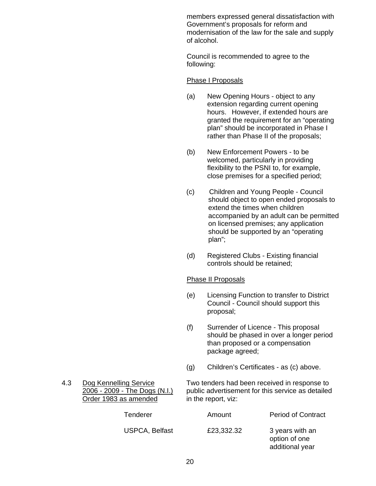members expressed general dissatisfaction with Government's proposals for reform and modernisation of the law for the sale and supply of alcohol.

Council is recommended to agree to the following:

#### Phase I Proposals

- (a) New Opening Hours object to any extension regarding current opening hours. However, if extended hours are granted the requirement for an "operating plan" should be incorporated in Phase I rather than Phase II of the proposals;
- (b) New Enforcement Powers to be welcomed, particularly in providing flexibility to the PSNI to, for example, close premises for a specified period;
- (c) Children and Young People Council should object to open ended proposals to extend the times when children accompanied by an adult can be permitted on licensed premises; any application should be supported by an "operating plan";
- (d) Registered Clubs Existing financial controls should be retained;

#### Phase II Proposals

- (e) Licensing Function to transfer to District Council - Council should support this proposal;
- (f) Surrender of Licence This proposal should be phased in over a longer period than proposed or a compensation package agreed;
- (g) Children's Certificates as (c) above.

# Order 1983 as amended in the report, viz:

 4.3 Dog Kennelling Service Two tenders had been received in response to 2006 - 2009 - The Dogs (N.I.) public advertisement for this service as detailed

| Tenderer              | Amount     | <b>Period of Contract</b>                           |
|-----------------------|------------|-----------------------------------------------------|
| <b>USPCA, Belfast</b> | £23,332.32 | 3 years with an<br>option of one<br>additional year |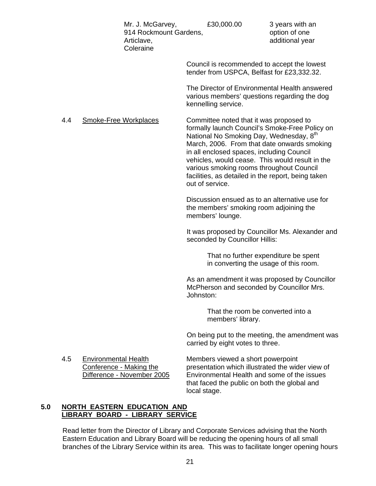Mr. J. McGarvey,  $£30,000.00$  3 years with an 914 Rockmount Gardens, The Control option of one Articlave, and the contract of the contract and additional year Coleraine Council is recommended to accept the lowest tender from USPCA, Belfast for £23,332.32. The Director of Environmental Health answered various members' questions regarding the dog kennelling service. 4.4 Smoke-Free Workplaces Committee noted that it was proposed to formally launch Council's Smoke-Free Policy on National No Smoking Day, Wednesday, 8<sup>th</sup> March, 2006. From that date onwards smoking in all enclosed spaces, including Council vehicles, would cease. This would result in the various smoking rooms throughout Council facilities, as detailed in the report, being taken out of service. Discussion ensued as to an alternative use for the members' smoking room adjoining the members' lounge. It was proposed by Councillor Ms. Alexander and seconded by Councillor Hillis: That no further expenditure be spent in converting the usage of this room. As an amendment it was proposed by Councillor McPherson and seconded by Councillor Mrs. Johnston: That the room be converted into a members' library.

> On being put to the meeting, the amendment was carried by eight votes to three.

4.5 Environmental Health Members viewed a short powerpoint

Conference - Making the presentation which illustrated the wider view of Difference - November 2005 Environmental Health and some of the issues that faced the public on both the global and local stage.

# **5.0 NORTH EASTERN EDUCATION AND LIBRARY BOARD - LIBRARY SERVICE**

Read letter from the Director of Library and Corporate Services advising that the North Eastern Education and Library Board will be reducing the opening hours of all small branches of the Library Service within its area. This was to facilitate longer opening hours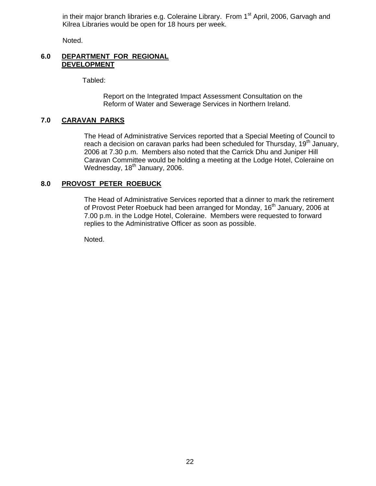in their major branch libraries e.g. Coleraine Library. From  $1<sup>st</sup>$  April, 2006, Garvagh and Kilrea Libraries would be open for 18 hours per week.

Noted.

#### **6.0 DEPARTMENT FOR REGIONAL DEVELOPMENT**

Tabled:

 Report on the Integrated Impact Assessment Consultation on the Reform of Water and Sewerage Services in Northern Ireland.

# **7.0 CARAVAN PARKS**

The Head of Administrative Services reported that a Special Meeting of Council to reach a decision on caravan parks had been scheduled for Thursday,  $19<sup>th</sup>$  January, 2006 at 7.30 p.m. Members also noted that the Carrick Dhu and Juniper Hill Caravan Committee would be holding a meeting at the Lodge Hotel, Coleraine on Wednesday, 18<sup>th</sup> January, 2006.

# **8.0 PROVOST PETER ROEBUCK**

The Head of Administrative Services reported that a dinner to mark the retirement of Provost Peter Roebuck had been arranged for Monday, 16<sup>th</sup> January, 2006 at 7.00 p.m. in the Lodge Hotel, Coleraine. Members were requested to forward replies to the Administrative Officer as soon as possible.

Noted.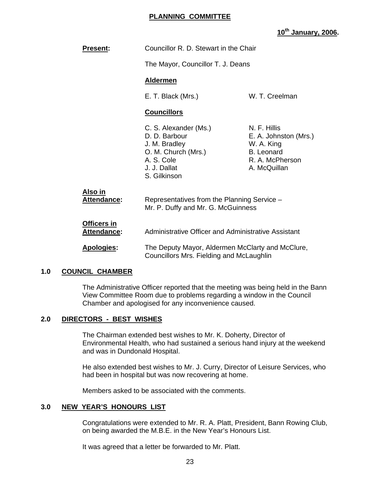# **PLANNING COMMITTEE**

**10th January, 2006.** 

| <b>Present:</b>                   | Councillor R. D. Stewart in the Chair                                                                                        |                                                                                                             |
|-----------------------------------|------------------------------------------------------------------------------------------------------------------------------|-------------------------------------------------------------------------------------------------------------|
|                                   | The Mayor, Councillor T. J. Deans                                                                                            |                                                                                                             |
|                                   | <b>Aldermen</b>                                                                                                              |                                                                                                             |
|                                   | E. T. Black (Mrs.)                                                                                                           | W. T. Creelman                                                                                              |
|                                   | <b>Councillors</b>                                                                                                           |                                                                                                             |
|                                   | C. S. Alexander (Ms.)<br>D. D. Barbour<br>J. M. Bradley<br>O. M. Church (Mrs.)<br>A. S. Cole<br>J. J. Dallat<br>S. Gilkinson | N. F. Hillis<br>E. A. Johnston (Mrs.)<br>W. A. King<br><b>B.</b> Leonard<br>R. A. McPherson<br>A. McQuillan |
| Also in<br>Attendance:            | Representatives from the Planning Service -<br>Mr. P. Duffy and Mr. G. McGuinness                                            |                                                                                                             |
| Officers in<br><b>Attendance:</b> | Administrative Officer and Administrative Assistant                                                                          |                                                                                                             |
| <b>Apologies:</b>                 | The Deputy Mayor, Aldermen McClarty and McClure,<br>Councillors Mrs. Fielding and McLaughlin                                 |                                                                                                             |

#### **1.0 COUNCIL CHAMBER**

 The Administrative Officer reported that the meeting was being held in the Bann View Committee Room due to problems regarding a window in the Council Chamber and apologised for any inconvenience caused.

## **2.0 DIRECTORS - BEST WISHES**

The Chairman extended best wishes to Mr. K. Doherty, Director of Environmental Health, who had sustained a serious hand injury at the weekend and was in Dundonald Hospital.

 He also extended best wishes to Mr. J. Curry, Director of Leisure Services, who had been in hospital but was now recovering at home.

Members asked to be associated with the comments.

## **3.0 NEW YEAR'S HONOURS LIST**

Congratulations were extended to Mr. R. A. Platt, President, Bann Rowing Club, on being awarded the M.B.E. in the New Year's Honours List.

It was agreed that a letter be forwarded to Mr. Platt.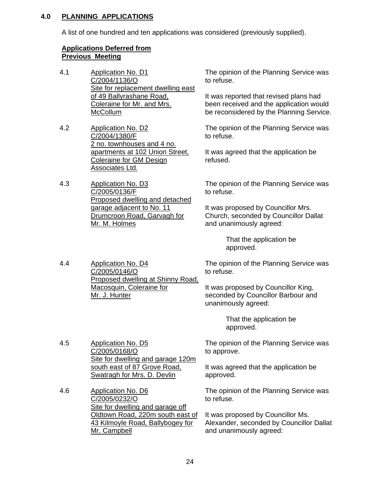# **4.0 PLANNING APPLICATIONS**

A list of one hundred and ten applications was considered (previously supplied).

# **Applications Deferred from Previous Meeting**

- 4.1 Application No. D1 C/2004/1136/O Site for replacement dwelling east of 49 Ballyrashane Road, Coleraine for Mr. and Mrs. **McCollum**
- 4.2 Application No. D2 C/2004/1380/F 2 no. townhouses and 4 no. apartments at 102 Union Street, Coleraine for GM Design Associates Ltd.
- 4.3 Application No. D3 C/2005/0136/F Proposed dwelling and detached garage adjacent to No. 11 Drumcroon Road, Garvagh for Mr. M. Holmes

4.4 Application No. D4

C/2005/0146/O

Mr. J. Hunter

Proposed dwelling at Shinny Road,

The opinion of the Planning Service was to refuse.

It was reported that revised plans had been received and the application would be reconsidered by the Planning Service.

The opinion of the Planning Service was to refuse.

It was agreed that the application be refused.

The opinion of the Planning Service was to refuse.

It was proposed by Councillor Mrs. Church, seconded by Councillor Dallat and unanimously agreed:

> That the application be approved.

The opinion of the Planning Service was to refuse.

It was proposed by Councillor King, seconded by Councillor Barbour and unanimously agreed:

> That the application be approved.

4.5 Application No. D5 C/2005/0168/O Site for dwelling and garage 120m south east of 87 Grove Road, Swatragh for Mrs. D. Devlin

Macosquin, Coleraine for

4.6 Application No. D6 C/2005/0232/O Site for dwelling and garage off Oldtown Road, 220m south east of 43 Kilmoyle Road, Ballybogey for Mr. Campbell

The opinion of the Planning Service was to approve.

It was agreed that the application be approved.

The opinion of the Planning Service was to refuse.

It was proposed by Councillor Ms. Alexander, seconded by Councillor Dallat and unanimously agreed: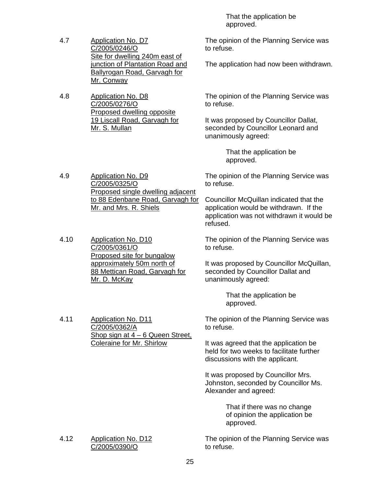- 4.7 Application No. D7 C/2005/0246/O Site for dwelling 240m east of junction of Plantation Road and Ballyrogan Road, Garvagh for Mr. Conway
- 4.8 Application No. D8 C/2005/0276/O Proposed dwelling opposite 19 Liscall Road, Garvagh for Mr. S. Mullan

4.9 Application No. D9

C/2005/0325/O

 That the application be approved.

The opinion of the Planning Service was to refuse.

The application had now been withdrawn.

The opinion of the Planning Service was to refuse.

It was proposed by Councillor Dallat, seconded by Councillor Leonard and unanimously agreed:

> That the application be approved.

The opinion of the Planning Service was to refuse.

Councillor McQuillan indicated that the application would be withdrawn. If the application was not withdrawn it would be refused.

The opinion of the Planning Service was to refuse.

It was proposed by Councillor McQuillan, seconded by Councillor Dallat and unanimously agreed:

> That the application be approved.

The opinion of the Planning Service was to refuse.

It was agreed that the application be held for two weeks to facilitate further discussions with the applicant.

It was proposed by Councillor Mrs. Johnston, seconded by Councillor Ms. Alexander and agreed:

> That if there was no change of opinion the application be approved.

The opinion of the Planning Service was to refuse.

4.10 Application No. D10 C/2005/0361/O Proposed site for bungalow approximately 50m north of

Mr. and Mrs. R. Shiels

88 Mettican Road, Garvagh for Mr. D. McKay

Shop sign at  $4 - 6$  Queen Street,

Coleraine for Mr. Shirlow

Proposed single dwelling adjacent to 88 Edenbane Road, Garvagh for

4.12 Application No. D12 C/2005/0390/O

4.11 Application No. D11 C/2005/0362/A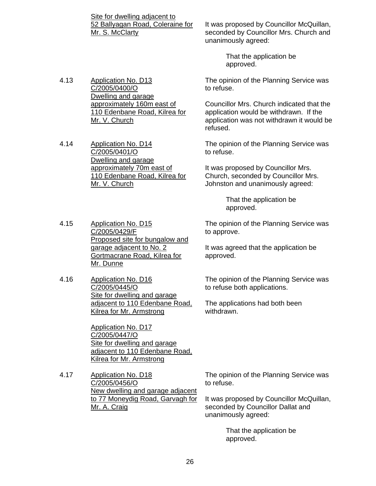Site for dwelling adjacent to 52 Ballyagan Road, Coleraine for Mr. S. McClarty

approximately 160m east of 110 Edenbane Road, Kilrea for

4.13 Application No. D13 C/2005/0400/O Dwelling and garage

Mr. V. Church

Mr. V. Church

4.14 Application No. D14 C/2005/0401/O Dwelling and garage approximately 70m east of 110 Edenbane Road, Kilrea for It was proposed by Councillor McQuillan, seconded by Councillor Mrs. Church and unanimously agreed:

> That the application be approved.

The opinion of the Planning Service was to refuse.

Councillor Mrs. Church indicated that the application would be withdrawn. If the application was not withdrawn it would be refused.

The opinion of the Planning Service was to refuse.

It was proposed by Councillor Mrs. Church, seconded by Councillor Mrs. Johnston and unanimously agreed:

> That the application be approved.

The opinion of the Planning Service was to approve.

It was agreed that the application be approved.

The opinion of the Planning Service was to refuse both applications.

The applications had both been withdrawn.

Application No. D17 C/2005/0447/O Site for dwelling and garage adjacent to 110 Edenbane Road, Kilrea for Mr. Armstrong

4.17 Application No. D18 C/2005/0456/O New dwelling and garage adjacent to 77 Moneydig Road, Garvagh for Mr. A. Craig

The opinion of the Planning Service was to refuse.

It was proposed by Councillor McQuillan, seconded by Councillor Dallat and unanimously agreed:

> That the application be approved.

4.15 Application No. D15

# C/2005/0429/F Proposed site for bungalow and garage adjacent to No. 2 Gortmacrane Road, Kilrea for Mr. Dunne

4.16 Application No. D16 C/2005/0445/O Site for dwelling and garage adjacent to 110 Edenbane Road, Kilrea for Mr. Armstrong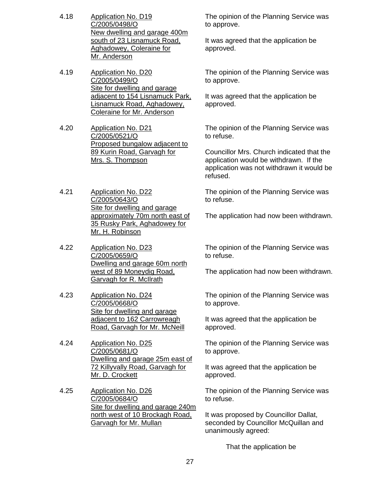- 4.18 Application No. D19 C/2005/0498/O New dwelling and garage 400m south of 23 Lisnamuck Road, Aghadowey, Coleraine for Mr. Anderson
- 4.19 Application No. D20 C/2005/0499/O Site for dwelling and garage adjacent to 154 Lisnamuck Park, Lisnamuck Road, Aghadowey, Coleraine for Mr. Anderson
- 4.20 Application No. D21 C/2005/0521/O Proposed bungalow adjacent to 89 Kurin Road, Garvagh for Mrs. S. Thompson
- 4.21 Application No. D22 C/2005/0643/O Site for dwelling and garage approximately 70m north east of 35 Rusky Park, Aghadowey for Mr. H. Robinson
- 4.22 Application No. D23 C/2005/0659/O Dwelling and garage 60m north west of 89 Moneydig Road, Garvagh for R. McIlrath
- 4.23 Application No. D24 C/2005/0668/O Site for dwelling and garage adjacent to 162 Carrowreagh Road, Garvagh for Mr. McNeill
- 4.24 Application No. D25 C/2005/0681/O Dwelling and garage 25m east of 72 Killyvally Road, Garvagh for Mr. D. Crockett
- 4.25 Application No. D26 C/2005/0684/O Site for dwelling and garage 240m north west of 10 Brockagh Road, Garvagh for Mr. Mullan

The opinion of the Planning Service was to approve.

It was agreed that the application be approved.

The opinion of the Planning Service was to approve.

It was agreed that the application be approved.

The opinion of the Planning Service was to refuse.

Councillor Mrs. Church indicated that the application would be withdrawn. If the application was not withdrawn it would be refused.

The opinion of the Planning Service was to refuse.

The application had now been withdrawn.

The opinion of the Planning Service was to refuse.

The application had now been withdrawn.

The opinion of the Planning Service was to approve.

It was agreed that the application be approved.

The opinion of the Planning Service was to approve.

It was agreed that the application be approved.

The opinion of the Planning Service was to refuse.

It was proposed by Councillor Dallat, seconded by Councillor McQuillan and unanimously agreed:

That the application be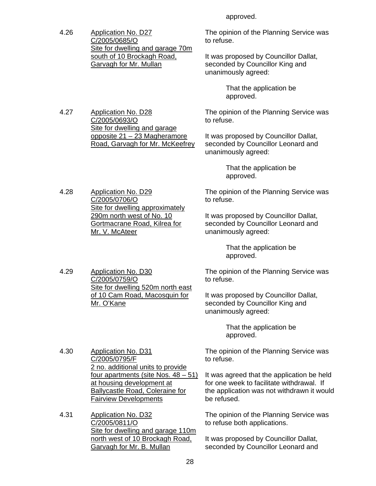approved.

4.26 Application No. D27 C/2005/0685/O Site for dwelling and garage 70m south of 10 Brockagh Road, Garvagh for Mr. Mullan

> Site for dwelling and garage opposite 21 – 23 Magheramore Road, Garvagh for Mr. McKeefrey

4.27 Application No. D28 C/2005/0693/O

The opinion of the Planning Service was to refuse.

It was proposed by Councillor Dallat, seconded by Councillor King and unanimously agreed:

> That the application be approved.

The opinion of the Planning Service was to refuse.

It was proposed by Councillor Dallat, seconded by Councillor Leonard and unanimously agreed:

> That the application be approved.

The opinion of the Planning Service was to refuse.

It was proposed by Councillor Dallat, seconded by Councillor Leonard and unanimously agreed:

> That the application be approved.

The opinion of the Planning Service was to refuse.

It was proposed by Councillor Dallat, seconded by Councillor King and unanimously agreed:

> That the application be approved.

The opinion of the Planning Service was to refuse.

It was agreed that the application be held for one week to facilitate withdrawal. If the application was not withdrawn it would be refused.

The opinion of the Planning Service was to refuse both applications.

It was proposed by Councillor Dallat, seconded by Councillor Leonard and

4.28 Application No. D29 C/2005/0706/O Site for dwelling approximately 290m north west of No. 10 Gortmacrane Road, Kilrea for Mr. V. McAteer

4.29 Application No. D30 C/2005/0759/O Site for dwelling 520m north east of 10 Cam Road, Macosquin for Mr. O'Kane

C/2005/0795/F 2 no. additional units to provide four apartments (site Nos. 48 – 51) at housing development at Ballycastle Road, Coleraine for Fairview Developments

4.30 Application No. D31

4.31 Application No. D32 C/2005/0811/O Site for dwelling and garage 110m north west of 10 Brockagh Road, Garvagh for Mr. B. Mullan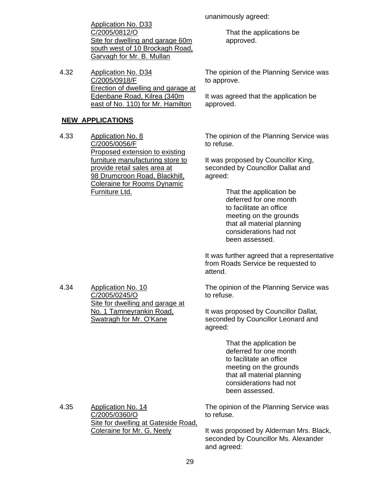Application No. D33 C/2005/0812/O Site for dwelling and garage 60m south west of 10 Brockagh Road, Garvagh for Mr. B. Mullan

4.32 Application No. D34 C/2005/0918/F Erection of dwelling and garage at Edenbane Road, Kilrea (340m east of No. 110) for Mr. Hamilton

# **NEW APPLICATIONS**

4.33 Application No. 8 C/2005/0056/F Proposed extension to existing furniture manufacturing store to provide retail sales area at 98 Drumcroon Road, Blackhill, Coleraine for Rooms Dynamic Furniture Ltd.

unanimously agreed:

 That the applications be approved.

The opinion of the Planning Service was to approve.

It was agreed that the application be approved.

The opinion of the Planning Service was to refuse.

It was proposed by Councillor King, seconded by Councillor Dallat and agreed:

> That the application be deferred for one month to facilitate an office meeting on the grounds that all material planning considerations had not been assessed.

It was further agreed that a representative from Roads Service be requested to attend.

The opinion of the Planning Service was to refuse.

It was proposed by Councillor Dallat, seconded by Councillor Leonard and agreed:

> That the application be deferred for one month to facilitate an office meeting on the grounds that all material planning considerations had not been assessed.

The opinion of the Planning Service was to refuse.

It was proposed by Alderman Mrs. Black, seconded by Councillor Ms. Alexander and agreed:

4.34 Application No. 10 C/2005/0245/O Site for dwelling and garage at No. 1 Tamneyrankin Road, Swatragh for Mr. O'Kane

4.35 Application No. 14

C/2005/0360/O

Site for dwelling at Gateside Road,

Coleraine for Mr. G. Neely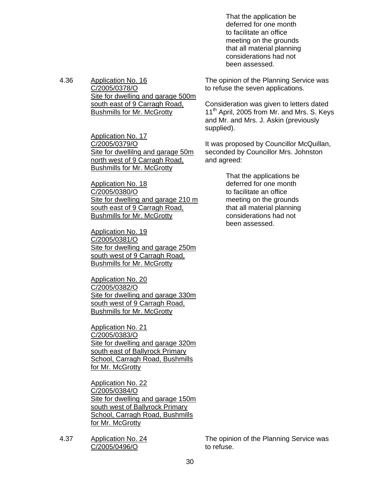That the application be deferred for one month to facilitate an office meeting on the grounds that all material planning considerations had not been assessed.

4.36 Application No. 16 C/2005/0378/O Site for dwelling and garage 500m south east of 9 Carragh Road, Bushmills for Mr. McGrotty

> Application No. 17 C/2005/0379/O Site for dwellilng and garage 50m north west of 9 Carragh Road, **Bushmills for Mr. McGrotty**

Application No. 18 C/2005/0380/O Site for dwelling and garage 210 m south east of 9 Carragh Road, Bushmills for Mr. McGrotty

Application No. 19 C/2005/0381/O Site for dwelling and garage 250m south west of 9 Carragh Road, Bushmills for Mr. McGrotty

Application No. 20 C/2005/0382/O Site for dwelling and garage 330m south west of 9 Carragh Road, Bushmills for Mr. McGrotty

Application No. 21 C/2005/0383/O Site for dwelling and garage 320m south east of Ballyrock Primary School, Carragh Road, Bushmills for Mr. McGrotty

Application No. 22 C/2005/0384/O Site for dwelling and garage 150m south west of Ballyrock Primary School, Carragh Road, Bushmills for Mr. McGrotty

4.37 Application No. 24 C/2005/0496/O

The opinion of the Planning Service was to refuse the seven applications.

Consideration was given to letters dated 11<sup>th</sup> April, 2005 from Mr. and Mrs. S. Keys and Mr. and Mrs. J. Askin (previously supplied).

It was proposed by Councillor McQuillan, seconded by Councillor Mrs. Johnston and agreed:

> That the applications be deferred for one month to facilitate an office meeting on the grounds that all material planning considerations had not been assessed.

The opinion of the Planning Service was to refuse.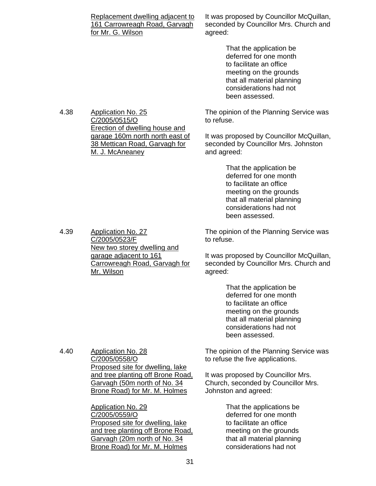| Replacement dwelling adjacent to |
|----------------------------------|
| 161 Carrowreagh Road, Garvagh    |
| for Mr. G. Wilson                |

It was proposed by Councillor McQuillan, seconded by Councillor Mrs. Church and agreed:

> That the application be deferred for one month to facilitate an office meeting on the grounds that all material planning considerations had not been assessed.

The opinion of the Planning Service was to refuse.

It was proposed by Councillor McQuillan, seconded by Councillor Mrs. Johnston and agreed:

> That the application be deferred for one month to facilitate an office meeting on the grounds that all material planning considerations had not been assessed.

The opinion of the Planning Service was to refuse.

It was proposed by Councillor McQuillan, seconded by Councillor Mrs. Church and agreed:

> That the application be deferred for one month to facilitate an office meeting on the grounds that all material planning considerations had not been assessed.

The opinion of the Planning Service was to refuse the five applications.

It was proposed by Councillor Mrs. Church, seconded by Councillor Mrs. Johnston and agreed:

> That the applications be deferred for one month to facilitate an office meeting on the grounds that all material planning considerations had not

4.38 Application No. 25 C/2005/0515/O Erection of dwelling house and garage 160m north north east of 38 Mettican Road, Garvagh for M. J. McAneaney

4.39 Application No. 27 C/2005/0523/F New two storey dwelling and garage adjacent to 161 Carrowreagh Road, Garvagh for Mr. Wilson

4.40 Application No. 28

C/2005/0558/O

Application No. 29 C/2005/0559/O

Proposed site for dwelling, lake and tree planting off Brone Road, Garvagh (50m north of No. 34 Brone Road) for Mr. M. Holmes

Proposed site for dwelling, lake and tree planting off Brone Road, Garvagh (20m north of No. 34 Brone Road) for Mr. M. Holmes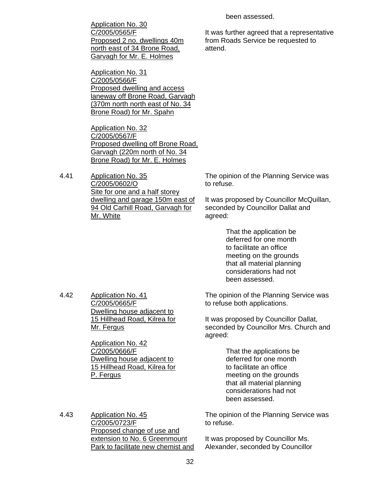Application No. 30 C/2005/0565/F Proposed 2 no. dwellings 40m north east of 34 Brone Road, Garvagh for Mr. E. Holmes

Application No. 31 C/2005/0566/F Proposed dwelling and access laneway off Brone Road, Garvagh (370m north north east of No. 34 Brone Road) for Mr. Spahn

Application No. 32 C/2005/0567/F Proposed dwelling off Brone Road, Garvagh (220m north of No. 34 Brone Road) for Mr. E. Holmes

4.41 Application No. 35 C/2005/0602/O Site for one and a half storey dwelling and garage 150m east of 94 Old Carhill Road, Garvagh for Mr. White

The opinion of the Planning Service was to refuse.

It was proposed by Councillor McQuillan, seconded by Councillor Dallat and agreed:

> That the application be deferred for one month to facilitate an office meeting on the grounds that all material planning considerations had not been assessed.

4.42 Application No. 41 C/2005/0665/F Dwelling house adjacent to 15 Hillhead Road, Kilrea for Mr. Fergus

> Application No. 42 C/2005/0666/F Dwelling house adjacent to 15 Hillhead Road, Kilrea for P. Fergus

The opinion of the Planning Service was to refuse both applications.

It was proposed by Councillor Dallat, seconded by Councillor Mrs. Church and agreed:

> That the applications be deferred for one month to facilitate an office meeting on the grounds that all material planning considerations had not been assessed.

The opinion of the Planning Service was to refuse.

It was proposed by Councillor Ms. Alexander, seconded by Councillor

4.43 Application No. 45 C/2005/0723/F Proposed change of use and extension to No. 6 Greenmount Park to facilitate new chemist and been assessed.

It was further agreed that a representative from Roads Service be requested to attend.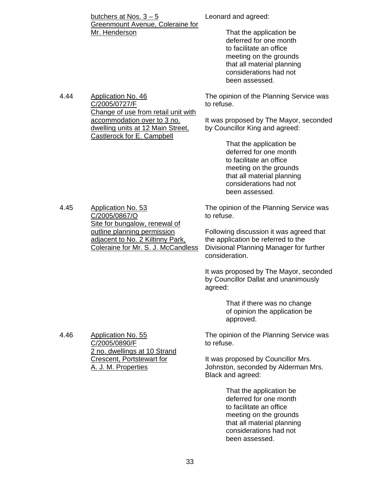Leonard and agreed:

butchers at Nos.  $3 - 5$ Greenmount Avenue, Coleraine for Mr. Henderson

 That the application be deferred for one month to facilitate an office meeting on the grounds that all material planning considerations had not been assessed.

The opinion of the Planning Service was to refuse.

It was proposed by The Mayor, seconded by Councillor King and agreed:

> That the application be deferred for one month to facilitate an office meeting on the grounds that all material planning considerations had not been assessed.

The opinion of the Planning Service was to refuse.

> Following discussion it was agreed that the application be referred to the Divisional Planning Manager for further consideration.

It was proposed by The Mayor, seconded by Councillor Dallat and unanimously agreed:

> That if there was no change of opinion the application be approved.

The opinion of the Planning Service was to refuse.

It was proposed by Councillor Mrs. Johnston, seconded by Alderman Mrs. Black and agreed:

> That the application be deferred for one month to facilitate an office meeting on the grounds that all material planning considerations had not been assessed.

Change of use from retail unit with accommodation over to 3 no. dwelling units at 12 Main Street, Castlerock for E. Campbell

4.44 Application No. 46

C/2005/0727/F

4.45 Application No. 53 C/2005/0867/O Site for bungalow, renewal of outline planning permission adjacent to No. 2 Kiltinny Park, Coleraine for Mr. S. J. McCandless

4.46 Application No. 55

C/2005/0890/F

A. J. M. Properties

2 no. dwellings at 10 Strand Crescent, Portstewart for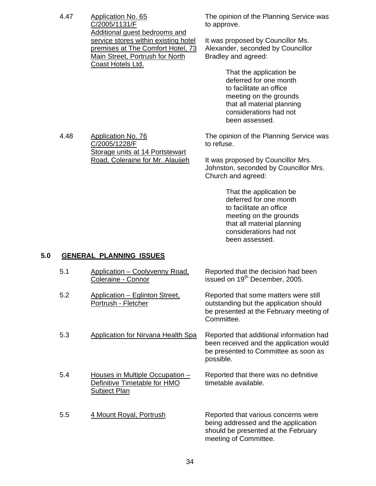4.47 Application No. 65 C/2005/1131/F Additional guest bedrooms and service stores within existing hotel premises at The Comfort Hotel, 73 Main Street, Portrush for North Coast Hotels Ltd.

The opinion of the Planning Service was to approve.

It was proposed by Councillor Ms. Alexander, seconded by Councillor Bradley and agreed:

> That the application be deferred for one month to facilitate an office meeting on the grounds that all material planning considerations had not been assessed.

4.48 Application No. 76 C/2005/1228/F Storage units at 14 Portstewart Road, Coleraine for Mr. Alauijeh The opinion of the Planning Service was to refuse.

It was proposed by Councillor Mrs. Johnston, seconded by Councillor Mrs. Church and agreed:

> That the application be deferred for one month to facilitate an office meeting on the grounds that all material planning considerations had not been assessed.

# **5.0 GENERAL PLANNING ISSUES**

| 5.1 | Application - Coolyvenny Road,<br>Coleraine - Connor                            | Reported that the decision had been<br>issued on 19 <sup>th</sup> December, 2005.                                                          |
|-----|---------------------------------------------------------------------------------|--------------------------------------------------------------------------------------------------------------------------------------------|
| 5.2 | Application – Eglinton Street,<br>Portrush - Fletcher                           | Reported that some matters were still<br>outstanding but the application should<br>be presented at the February meeting of<br>Committee.   |
| 5.3 | Application for Nirvana Health Spa                                              | Reported that additional information had<br>been received and the application would<br>be presented to Committee as soon as<br>possible.   |
| 5.4 | Houses in Multiple Occupation -<br>Definitive Timetable for HMO<br>Subject Plan | Reported that there was no definitive<br>timetable available.                                                                              |
| 5.5 | 4 Mount Royal, Portrush                                                         | Reported that various concerns were<br>being addressed and the application<br>should be presented at the February<br>meeting of Committee. |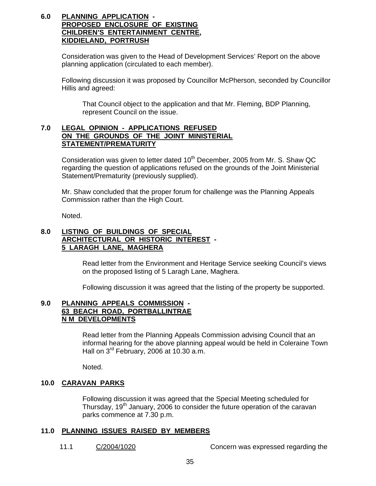### **6.0 PLANNING APPLICATION - PROPOSED ENCLOSURE OF EXISTING CHILDREN'S ENTERTAINMENT CENTRE, KIDDIELAND, PORTRUSH**

Consideration was given to the Head of Development Services' Report on the above planning application (circulated to each member).

 Following discussion it was proposed by Councillor McPherson, seconded by Councillor Hillis and agreed:

 That Council object to the application and that Mr. Fleming, BDP Planning, represent Council on the issue.

# **7.0 LEGAL OPINION - APPLICATIONS REFUSED ON THE GROUNDS OF THE JOINT MINISTERIAL STATEMENT/PREMATURITY**

Consideration was given to letter dated  $10<sup>th</sup>$  December, 2005 from Mr. S. Shaw QC regarding the question of applications refused on the grounds of the Joint Ministerial Statement/Prematurity (previously supplied).

 Mr. Shaw concluded that the proper forum for challenge was the Planning Appeals Commission rather than the High Court.

Noted.

# **8.0 LISTING OF BUILDINGS OF SPECIAL ARCHITECTURAL OR HISTORIC INTEREST - 5 LARAGH LANE, MAGHERA**

 Read letter from the Environment and Heritage Service seeking Council's views on the proposed listing of 5 Laragh Lane, Maghera.

Following discussion it was agreed that the listing of the property be supported.

### **9.0 PLANNING APPEALS COMMISSION - 63 BEACH ROAD, PORTBALLINTRAE N M DEVELOPMENTS**

 Read letter from the Planning Appeals Commission advising Council that an informal hearing for the above planning appeal would be held in Coleraine Town Hall on 3<sup>rd</sup> February, 2006 at 10.30 a.m.

Noted.

## **10.0 CARAVAN PARKS**

 Following discussion it was agreed that the Special Meeting scheduled for Thursday, 19<sup>th</sup> January, 2006 to consider the future operation of the caravan parks commence at 7.30 p.m.

## **11.0 PLANNING ISSUES RAISED BY MEMBERS**

11.1 C/2004/1020 Concern was expressed regarding the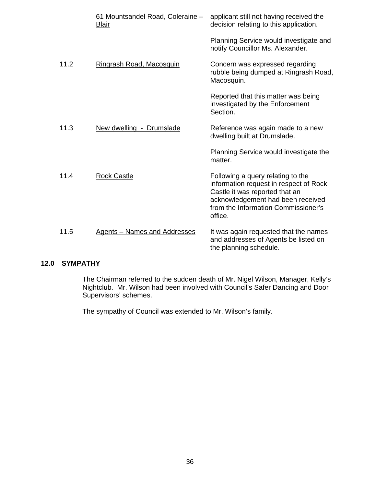|      | 61 Mountsandel Road, Coleraine -<br><b>Blair</b> | applicant still not having received the<br>decision relating to this application.                                                                                                                    |
|------|--------------------------------------------------|------------------------------------------------------------------------------------------------------------------------------------------------------------------------------------------------------|
|      |                                                  | Planning Service would investigate and<br>notify Councillor Ms. Alexander.                                                                                                                           |
| 11.2 | Ringrash Road, Macosquin                         | Concern was expressed regarding<br>rubble being dumped at Ringrash Road,<br>Macosquin.                                                                                                               |
|      |                                                  | Reported that this matter was being<br>investigated by the Enforcement<br>Section.                                                                                                                   |
| 11.3 | New dwelling - Drumslade                         | Reference was again made to a new<br>dwelling built at Drumslade.                                                                                                                                    |
|      |                                                  | Planning Service would investigate the<br>matter.                                                                                                                                                    |
| 11.4 | <b>Rock Castle</b>                               | Following a query relating to the<br>information request in respect of Rock<br>Castle it was reported that an<br>acknowledgement had been received<br>from the Information Commissioner's<br>office. |
| 11.5 | <b>Agents - Names and Addresses</b>              | It was again requested that the names<br>and addresses of Agents be listed on<br>the planning schedule.                                                                                              |

# **12.0 SYMPATHY**

The Chairman referred to the sudden death of Mr. Nigel Wilson, Manager, Kelly's Nightclub. Mr. Wilson had been involved with Council's Safer Dancing and Door Supervisors' schemes.

The sympathy of Council was extended to Mr. Wilson's family.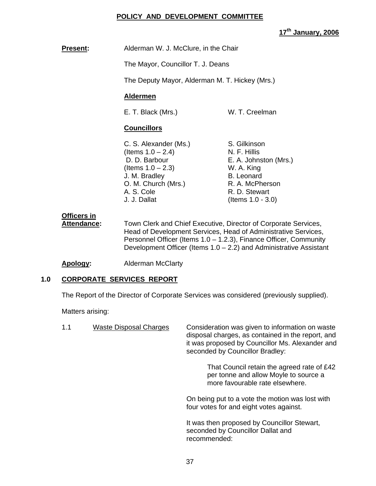# **POLICY AND DEVELOPMENT COMMITTEE**

**17th January, 2006**

**Present:** Alderman W. J. McClure, in the Chair

The Mayor, Councillor T. J. Deans

The Deputy Mayor, Alderman M. T. Hickey (Mrs.)

# **Aldermen**

E. T. Black (Mrs.) W. T. Creelman

# **Councillors**

C. S. Alexander (Ms.) S. Gilkinson  $($  Items  $1.0 - 2.4)$  N. F. Hillis D. D. Barbour **E. A. Johnston (Mrs.)**  $($  Items  $1.0 - 2.3)$  W. A. King J. M. Bradley B. Leonard O. M. Church (Mrs.) R. A. McPherson A. S. Cole R. D. Stewart J. J. Dallat (Items 1.0 - 3.0)

# **Officers in**

 **Attendance:** Town Clerk and Chief Executive, Director of Corporate Services, Head of Development Services, Head of Administrative Services, Personnel Officer (Items 1.0 – 1.2.3), Finance Officer, Community Development Officer (Items  $1.0 - 2.2$ ) and Administrative Assistant

**Apology:** Alderman McClarty

# **1.0 CORPORATE SERVICES REPORT**

The Report of the Director of Corporate Services was considered (previously supplied).

Matters arising:

| 1.1 | <b>Waste Disposal Charges</b> | Consideration was given to information on waste<br>disposal charges, as contained in the report, and<br>it was proposed by Councillor Ms. Alexander and<br>seconded by Councillor Bradley: |
|-----|-------------------------------|--------------------------------------------------------------------------------------------------------------------------------------------------------------------------------------------|
|     |                               | That Council retain the agreed rate of £42<br>per tonne and allow Moyle to source a<br>more favourable rate elsewhere.                                                                     |
|     |                               | On being put to a vote the motion was lost with<br>four votes for and eight votes against.                                                                                                 |
|     |                               | It was then proposed by Councillor Stewart,<br>seconded by Councillor Dallat and<br>recommended:                                                                                           |
|     |                               |                                                                                                                                                                                            |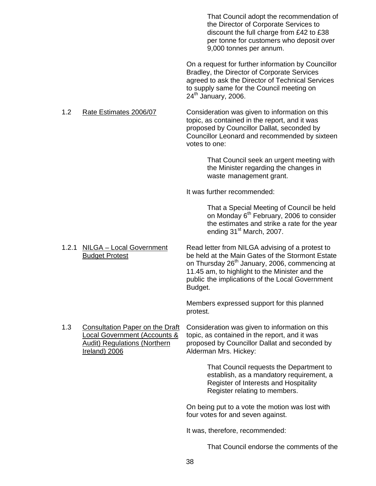That Council adopt the recommendation of the Director of Corporate Services to discount the full charge from £42 to £38 per tonne for customers who deposit over 9,000 tonnes per annum.

 On a request for further information by Councillor Bradley, the Director of Corporate Services agreed to ask the Director of Technical Services to supply same for the Council meeting on  $24<sup>th</sup>$  January, 2006.

 1.2 Rate Estimates 2006/07 Consideration was given to information on this topic, as contained in the report, and it was proposed by Councillor Dallat, seconded by Councillor Leonard and recommended by sixteen votes to one:

> That Council seek an urgent meeting with the Minister regarding the changes in waste management grant.

It was further recommended:

 That a Special Meeting of Council be held on Monday  $6<sup>th</sup>$  February, 2006 to consider the estimates and strike a rate for the year ending 31<sup>st</sup> March, 2007.

 1.2.1 NILGA – Local Government Read letter from NILGA advising of a protest to Budget Protest be held at the Main Gates of the Stormont Estate on Thursday 26<sup>th</sup> January, 2006, commencing at 11.45 am, to highlight to the Minister and the public the implications of the Local Government Budget.

> Members expressed support for this planned protest.

1.3 Consultation Paper on the Draft Consideration was given to information on this<br>Local Government (Accounts & topic, as contained in the report, and it was topic, as contained in the report, and it was Audit) Regulations (Northern proposed by Councillor Dallat and seconded by Ireland) 2006 **Alderman Mrs. Hickey:** 

> That Council requests the Department to establish, as a mandatory requirement, a Register of Interests and Hospitality Register relating to members.

 On being put to a vote the motion was lost with four votes for and seven against.

It was, therefore, recommended:

That Council endorse the comments of the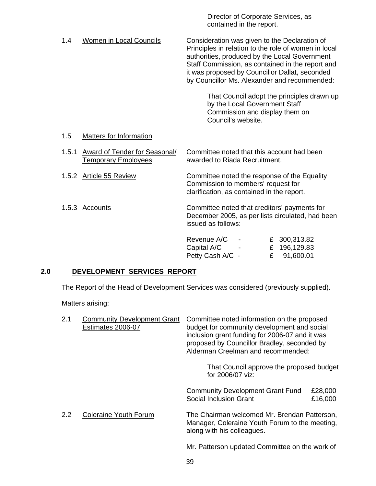contained in the report. 1.4 Women in Local Councils Consideration was given to the Declaration of Principles in relation to the role of women in local authorities, produced by the Local Government Staff Commission, as contained in the report and it was proposed by Councillor Dallat, seconded by Councillor Ms. Alexander and recommended: That Council adopt the principles drawn up by the Local Government Staff Commission and display them on Council's website. 1.5 Matters for Information 1.5.1 Award of Tender for Seasonal/ Committee noted that this account had been Temporary Employees awarded to Riada Recruitment. 1.5.2 Article 55 Review Committee noted the response of the Equality Commission to members' request for clarification, as contained in the report.

1.5.3 Accounts Committee noted that creditors' payments for December 2005, as per lists circulated, had been issued as follows:

Director of Corporate Services, as

| Revenue A/C      | $\sim$ $-$    | £ 300,313.82 |
|------------------|---------------|--------------|
| Capital A/C      | $\sim$ $\sim$ | £ 196,129.83 |
| Petty Cash A/C - |               | £ 91,600.01  |

# **2.0 DEVELOPMENT SERVICES REPORT**

The Report of the Head of Development Services was considered (previously supplied).

Matters arising:

| 2.1           | <b>Community Development Grant</b><br>Estimates 2006-07 | Committee noted information on the proposed<br>budget for community development and social<br>inclusion grant funding for 2006-07 and it was<br>proposed by Councillor Bradley, seconded by<br>Alderman Creelman and recommended:<br>That Council approve the proposed budget<br>for 2006/07 viz: |                    |  |
|---------------|---------------------------------------------------------|---------------------------------------------------------------------------------------------------------------------------------------------------------------------------------------------------------------------------------------------------------------------------------------------------|--------------------|--|
|               |                                                         | <b>Community Development Grant Fund</b><br><b>Social Inclusion Grant</b>                                                                                                                                                                                                                          | £28,000<br>£16,000 |  |
| $2.2^{\circ}$ | <b>Coleraine Youth Forum</b>                            | The Chairman welcomed Mr. Brendan Patterson,<br>Manager, Coleraine Youth Forum to the meeting,<br>along with his colleagues.                                                                                                                                                                      |                    |  |
|               |                                                         | Mr. Patterson updated Committee on the work of                                                                                                                                                                                                                                                    |                    |  |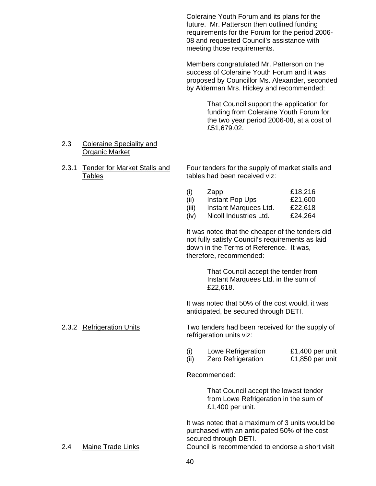Coleraine Youth Forum and its plans for the future. Mr. Patterson then outlined funding requirements for the Forum for the period 2006- 08 and requested Council's assistance with meeting those requirements.

Members congratulated Mr. Patterson on the success of Coleraine Youth Forum and it was proposed by Councillor Ms. Alexander, seconded by Alderman Mrs. Hickey and recommended:

> That Council support the application for funding from Coleraine Youth Forum for the two year period 2006-08, at a cost of £51,679.02.

# 2.3 Coleraine Speciality and Organic Market

 2.3.1 Tender for Market Stalls and Four tenders for the supply of market stalls and Tables tables had been received viz:

|       | Zapp                   | £18,216 |
|-------|------------------------|---------|
|       | Instant Pop Ups        | £21,600 |
| (iii) | Instant Marquees Ltd.  | £22,618 |
| (iv)  | Nicoll Industries Ltd. | £24,264 |

 It was noted that the cheaper of the tenders did not fully satisfy Council's requirements as laid down in the Terms of Reference. It was, therefore, recommended:

> That Council accept the tender from Instant Marquees Ltd. in the sum of £22,618.

 It was noted that 50% of the cost would, it was anticipated, be secured through DETI.

2.3.2 Refrigeration Units Two tenders had been received for the supply of refrigeration units viz:

|  | Lowe Refrigeration        | £1,400 per unit |
|--|---------------------------|-----------------|
|  | <b>Zero Refrigeration</b> | £1,850 per unit |

Recommended:

 That Council accept the lowest tender from Lowe Refrigeration in the sum of £1,400 per unit.

It was noted that a maximum of 3 units would be purchased with an anticipated 50% of the cost secured through DETI.

2.4 Maine Trade Links Council is recommended to endorse a short visit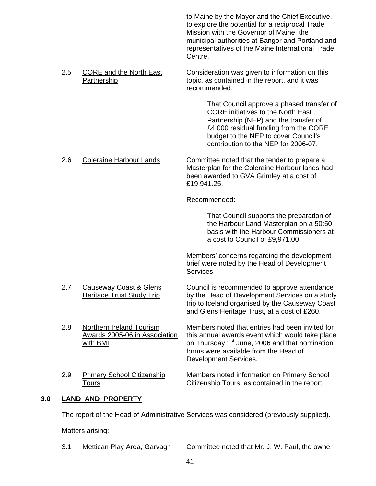to Maine by the Mayor and the Chief Executive, to explore the potential for a reciprocal Trade Mission with the Governor of Maine, the municipal authorities at Bangor and Portland and representatives of the Maine International Trade Centre.

 2.5 CORE and the North East Consideration was given to information on this Partnership topic, as contained in the report, and it was recommended:

> That Council approve a phased transfer of CORE initiatives to the North East Partnership (NEP) and the transfer of £4,000 residual funding from the CORE budget to the NEP to cover Council's contribution to the NEP for 2006-07.

 2.6 Coleraine Harbour Lands Committee noted that the tender to prepare a Masterplan for the Coleraine Harbour lands had been awarded to GVA Grimley at a cost of £19,941.25.

Recommended:

 That Council supports the preparation of the Harbour Land Masterplan on a 50:50 basis with the Harbour Commissioners at a cost to Council of £9,971.00.

Members' concerns regarding the development brief were noted by the Head of Development Services.

- 2.7 Causeway Coast & Glens Council is recommended to approve attendance Heritage Trust Study Trip by the Head of Development Services on a study trip to Iceland organised by the Causeway Coast
- 

2.8 Northern Ireland Tourism Members noted that entries had been invited for Awards 2005-06 in Association this annual awards event which would take place with BMI **butter and Strutter Communist Communist Communist Communist Communist Communist Communist Communist Communist Communist Communist Communist Communist Communist Communist Communist Communist Communist Communist C**  forms were available from the Head of Development Services.

and Glens Heritage Trust, at a cost of £260.

2.9 Primary School Citizenship Members noted information on Primary School Tours Citizenship Tours, as contained in the report.

# **3.0 LAND AND PROPERTY**

The report of the Head of Administrative Services was considered (previously supplied).

Matters arising:

3.1 Mettican Play Area, Garvagh Committee noted that Mr. J. W. Paul, the owner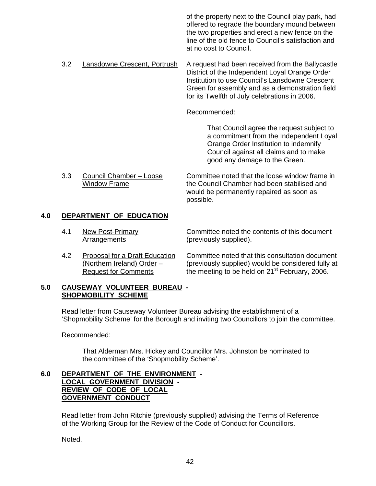of the property next to the Council play park, had offered to regrade the boundary mound between the two properties and erect a new fence on the line of the old fence to Council's satisfaction and at no cost to Council.

3.2 Lansdowne Crescent, Portrush A request had been received from the Ballycastle District of the Independent Loyal Orange Order Institution to use Council's Lansdowne Crescent Green for assembly and as a demonstration field for its Twelfth of July celebrations in 2006.

Recommended:

 That Council agree the request subject to a commitment from the Independent Loyal Orange Order Institution to indemnify Council against all claims and to make good any damage to the Green.

 3.3 Council Chamber – Loose Committee noted that the loose window frame in Window Frame The Council Chamber had been stabilised and would be permanently repaired as soon as possible.

# **4.0 DEPARTMENT OF EDUCATION**

- 4.1 New Post-Primary Committee noted the contents of this document Arrangements (previously supplied).
- 

 4.2 Proposal for a Draft Education Committee noted that this consultation document (Northern Ireland) Order – (previously supplied) would be considered fully at Request for Comments the meeting to be held on  $21<sup>st</sup>$  February, 2006.

## **5.0 CAUSEWAY VOLUNTEER BUREAU - SHOPMOBILITY SCHEME**

 Read letter from Causeway Volunteer Bureau advising the establishment of a 'Shopmobility Scheme' for the Borough and inviting two Councillors to join the committee.

Recommended:

 That Alderman Mrs. Hickey and Councillor Mrs. Johnston be nominated to the committee of the 'Shopmobility Scheme'.

## **6.0 DEPARTMENT OF THE ENVIRONMENT - LOCAL GOVERNMENT DIVISION - REVIEW OF CODE OF LOCAL GOVERNMENT CONDUCT**

Read letter from John Ritchie (previously supplied) advising the Terms of Reference of the Working Group for the Review of the Code of Conduct for Councillors.

Noted.